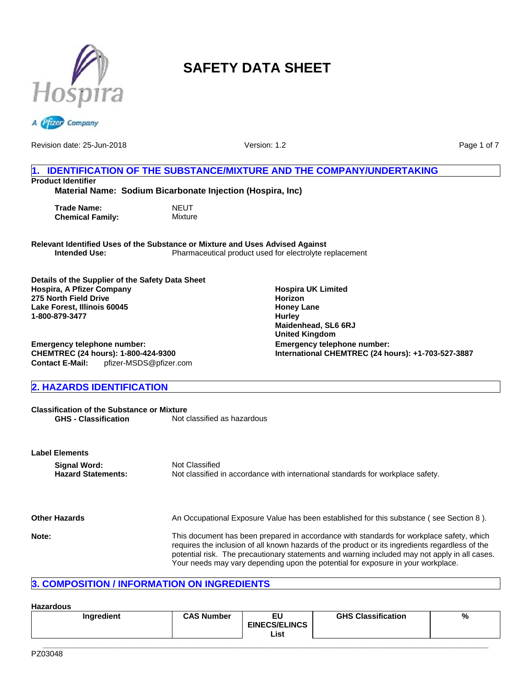



Revision date: 25-Jun-2018

Version: 1.2

**Hospira UK Limited**

**Maidenhead, SL6 6RJ United Kingdom**

**Emergency telephone number:**

**International CHEMTREC (24 hours): +1-703-527-3887**

**Horizon Honey Lane Hurley**

Page 1 of 7

# **1. IDENTIFICATION OF THE SUBSTANCE/MIXTURE AND THE COMPANY/UNDERTAKING Product Identifier**

**Material Name: Sodium Bicarbonate Injection (Hospira, Inc)**

| Trade Name:             | NEUT    |
|-------------------------|---------|
| <b>Chemical Family:</b> | Mixture |

**Relevant Identified Uses of the Substance or Mixture and Uses Advised Against** Pharmaceutical product used for electrolyte replacement

**Details of the Supplier of the Safety Data Sheet Hospira, A Pfizer Company 275 North Field Drive Lake Forest, Illinois 60045 1-800-879-3477**

**Contact E-Mail:** pfizer-MSDS@pfizer.com **Emergency telephone number: CHEMTREC (24 hours): 1-800-424-9300**

# **2. HAZARDS IDENTIFICATION**

**Classification of the Substance or Mixture**<br>**GHS - Classification** Not on Not classified as hazardous

| <b>Label Elements</b>                     |                                                                                                                                                                                                                                                                                                                                                                                  |
|-------------------------------------------|----------------------------------------------------------------------------------------------------------------------------------------------------------------------------------------------------------------------------------------------------------------------------------------------------------------------------------------------------------------------------------|
| Signal Word:<br><b>Hazard Statements:</b> | Not Classified<br>Not classified in accordance with international standards for workplace safety.                                                                                                                                                                                                                                                                                |
| <b>Other Hazards</b>                      | An Occupational Exposure Value has been established for this substance (see Section 8).                                                                                                                                                                                                                                                                                          |
| Note:                                     | This document has been prepared in accordance with standards for workplace safety, which<br>requires the inclusion of all known hazards of the product or its ingredients regardless of the<br>potential risk. The precautionary statements and warning included may not apply in all cases.<br>Your needs may vary depending upon the potential for exposure in your workplace. |

# **3. COMPOSITION / INFORMATION ON INGREDIENTS**

## **Hazardous**

|  | Ingredient | <b>CAS Number</b> | ΕL<br><b>EINECS/ELINCS</b><br>List | <b>GHS Classification</b> | % |
|--|------------|-------------------|------------------------------------|---------------------------|---|
|--|------------|-------------------|------------------------------------|---------------------------|---|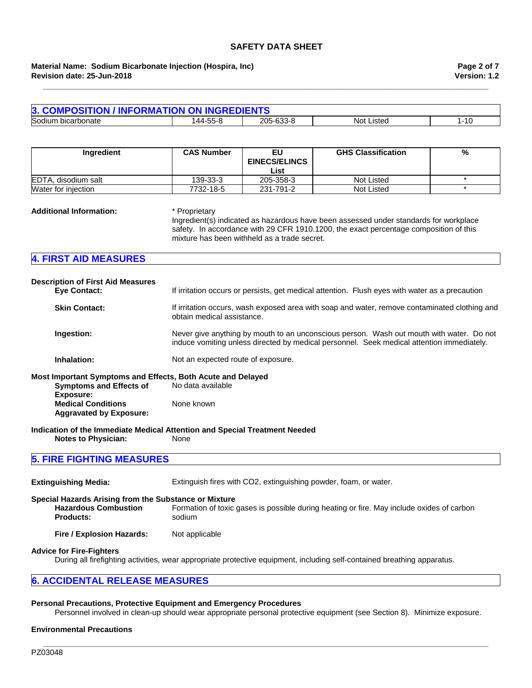## **Revision date: 25-Jun-2018 Material Name: Sodium Bicarbonate Injection (Hospira, Inc)**

| 3. COMPOSITION / INFORMATION ON INGREDIENTS |          |           |            |                       |
|---------------------------------------------|----------|-----------|------------|-----------------------|
| Sodium<br>ı bicarbonate                     | 144-55-8 | 205-633-8 | Not Listed | $\overline{A}$<br>טוי |

**\_\_\_\_\_\_\_\_\_\_\_\_\_\_\_\_\_\_\_\_\_\_\_\_\_\_\_\_\_\_\_\_\_\_\_\_\_\_\_\_\_\_\_\_\_\_\_\_\_\_\_\_\_\_\_\_\_\_\_\_\_\_\_\_\_\_\_\_\_\_\_\_\_\_\_\_\_\_\_\_\_\_\_\_\_\_\_\_\_\_\_\_\_\_\_\_\_\_\_\_\_\_\_**

| Ingredient          | <b>CAS Number</b> | EU<br><b>EINECS/ELINCS</b> | <b>GHS Classification</b> | % |
|---------------------|-------------------|----------------------------|---------------------------|---|
| EDTA, disodium salt | 139-33-3          | List<br>205-358-3          | Not Listed                |   |
| Water for injection | 7732-18-5         | 231-791-2                  | Not Listed                |   |

#### **Additional Information:** \* Proprietary

Ingredient(s) indicated as hazardous have been assessed under standards for workplace safety. In accordance with 29 CFR 1910.1200, the exact percentage composition of this mixture has been withheld as a trade secret.

| <b>4. FIRST AID MEASURES</b> |  |  |
|------------------------------|--|--|
|                              |  |  |

| <b>Description of First Aid Measures</b><br><b>Eve Contact:</b> | If irritation occurs or persists, get medical attention. Flush eyes with water as a precaution                                                                                        |
|-----------------------------------------------------------------|---------------------------------------------------------------------------------------------------------------------------------------------------------------------------------------|
| <b>Skin Contact:</b>                                            | If irritation occurs, wash exposed area with soap and water, remove contaminated clothing and<br>obtain medical assistance.                                                           |
| Ingestion:                                                      | Never give anything by mouth to an unconscious person. Wash out mouth with water. Do not<br>induce vomiting unless directed by medical personnel. Seek medical attention immediately. |
| Inhalation:                                                     | Not an expected route of exposure.                                                                                                                                                    |
| Most Important Symptoms and Effects, Both Acute and Delayed     |                                                                                                                                                                                       |
| <b>Symptoms and Effects of</b><br>Exposure:                     | No data available                                                                                                                                                                     |
| <b>Medical Conditions</b>                                       | None known                                                                                                                                                                            |

**Medical Conditions Aggravated by Exposure:**

**Indication of the Immediate Medical Attention and Special Treatment Needed**

**Notes to Physician:** None

# **5. FIRE FIGHTING MEASURES**

**Extinguishing Media:** Extinguish fires with CO2, extinguishing powder, foam, or water. **Special Hazards Arising from the Substance or Mixture Hazardous Combustion Products:** Formation of toxic gases is possible during heating or fire. May include oxides of carbon sodium **Fire / Explosion Hazards:** Not applicable

## **Advice for Fire-Fighters**

During all firefighting activities, wear appropriate protective equipment, including self-contained breathing apparatus.

## **6. ACCIDENTAL RELEASE MEASURES**

### **Personal Precautions, Protective Equipment and Emergency Procedures**

Personnel involved in clean-up should wear appropriate personal protective equipment (see Section 8). Minimize exposure.

**\_\_\_\_\_\_\_\_\_\_\_\_\_\_\_\_\_\_\_\_\_\_\_\_\_\_\_\_\_\_\_\_\_\_\_\_\_\_\_\_\_\_\_\_\_\_\_\_\_\_\_\_\_\_\_\_\_\_\_\_\_\_\_\_\_\_\_\_\_\_\_\_\_\_\_\_\_\_\_\_\_\_\_\_\_\_\_\_\_\_\_\_\_\_\_\_\_\_\_\_\_\_\_**

#### **Environmental Precautions**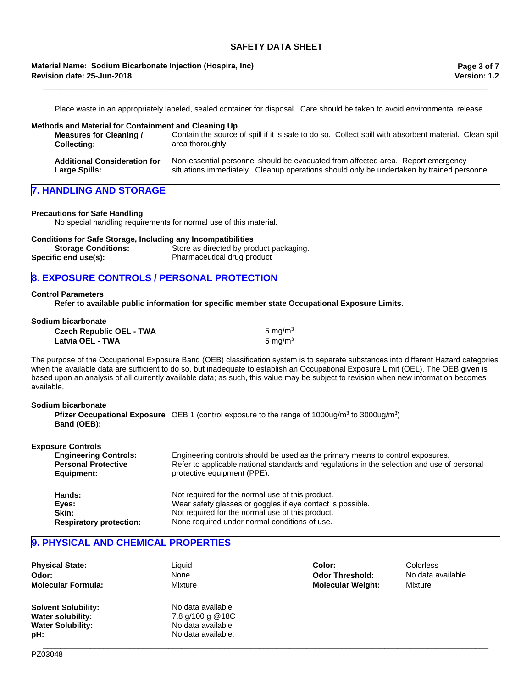## **Revision date: 25-Jun-2018 Material Name: Sodium Bicarbonate Injection (Hospira, Inc)**

Place waste in an appropriately labeled, sealed container for disposal. Care should be taken to avoid environmental release.

**\_\_\_\_\_\_\_\_\_\_\_\_\_\_\_\_\_\_\_\_\_\_\_\_\_\_\_\_\_\_\_\_\_\_\_\_\_\_\_\_\_\_\_\_\_\_\_\_\_\_\_\_\_\_\_\_\_\_\_\_\_\_\_\_\_\_\_\_\_\_\_\_\_\_\_\_\_\_\_\_\_\_\_\_\_\_\_\_\_\_\_\_\_\_\_\_\_\_\_\_\_\_\_**

#### **Methods and Material for Containment and Cleaning Up Measures for Cleaning / Collecting:** Contain the source of spill if it is safe to do so. Collect spill with absorbent material. Clean spill area thoroughly. **Additional Consideration for Large Spills:** Non-essential personnel should be evacuated from affected area. Report emergency situations immediately. Cleanup operations should only be undertaken by trained personnel.

## **7. HANDLING AND STORAGE**

#### **Precautions for Safe Handling**

No special handling requirements for normal use of this material.

| <b>Conditions for Safe Storage, Including any Incompatibilities</b> |                                         |
|---------------------------------------------------------------------|-----------------------------------------|
| <b>Storage Conditions:</b>                                          | Store as directed by product packaging. |
| Specific end use(s):                                                | Pharmaceutical drug product             |

## **8. EXPOSURE CONTROLS / PERSONAL PROTECTION**

#### **Control Parameters**

**Refer to available public information for specific member state Occupational Exposure Limits.**

| Sodium bicarbonate              |                     |
|---------------------------------|---------------------|
| <b>Czech Republic OEL - TWA</b> | 5 ma/m <sup>3</sup> |
| Latvia OEL - TWA                | 5 ma/m <sup>3</sup> |

The purpose of the Occupational Exposure Band (OEB) classification system is to separate substances into different Hazard categories when the available data are sufficient to do so, but inadequate to establish an Occupational Exposure Limit (OEL). The OEB given is based upon an analysis of all currently available data; as such, this value may be subject to revision when new information becomes available.

| Sodium bicarbonate |                                                                                                                              |
|--------------------|------------------------------------------------------------------------------------------------------------------------------|
| Band (OEB):        | <b>Pfizer Occupational Exposure</b> OEB 1 (control exposure to the range of 1000ug/m <sup>3</sup> to 3000ug/m <sup>3</sup> ) |
|                    |                                                                                                                              |

| <b>Exposure Controls</b>                                   |                                                                                                                                                                               |
|------------------------------------------------------------|-------------------------------------------------------------------------------------------------------------------------------------------------------------------------------|
| <b>Engineering Controls:</b><br><b>Personal Protective</b> | Engineering controls should be used as the primary means to control exposures.<br>Refer to applicable national standards and regulations in the selection and use of personal |
| Equipment:                                                 | protective equipment (PPE).                                                                                                                                                   |
| Hands:                                                     | Not required for the normal use of this product.                                                                                                                              |
| Eves:                                                      | Wear safety glasses or goggles if eye contact is possible.                                                                                                                    |
| Skin:                                                      | Not required for the normal use of this product.                                                                                                                              |
| <b>Respiratory protection:</b>                             | None required under normal conditions of use.                                                                                                                                 |

## **9. PHYSICAL AND CHEMICAL PROPERTIES**

| <b>Physical State:</b>     | Liquid             | Color:                   | Colorless          |
|----------------------------|--------------------|--------------------------|--------------------|
| Odor:                      | None               | <b>Odor Threshold:</b>   | No data available. |
| <b>Molecular Formula:</b>  | Mixture            | <b>Molecular Weight:</b> | Mixture            |
| <b>Solvent Solubility:</b> | No data available  |                          |                    |
| <b>Water solubility:</b>   | 7.8 g/100 g @18C   |                          |                    |
| <b>Water Solubility:</b>   | No data available  |                          |                    |
| pH:                        | No data available. |                          |                    |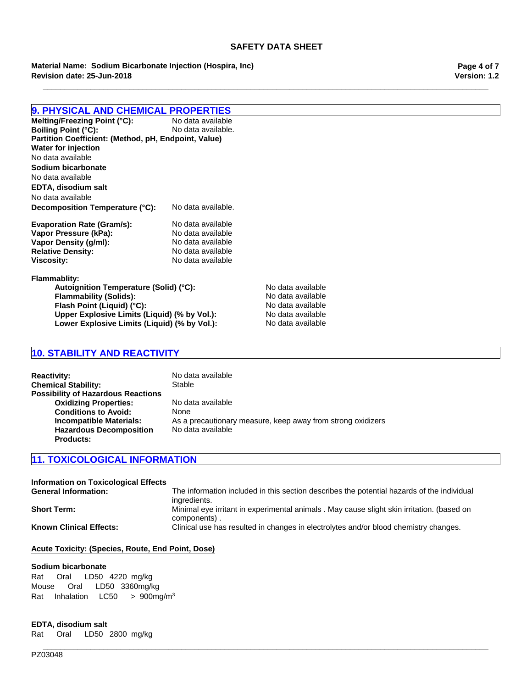**\_\_\_\_\_\_\_\_\_\_\_\_\_\_\_\_\_\_\_\_\_\_\_\_\_\_\_\_\_\_\_\_\_\_\_\_\_\_\_\_\_\_\_\_\_\_\_\_\_\_\_\_\_\_\_\_\_\_\_\_\_\_\_\_\_\_\_\_\_\_\_\_\_\_\_\_\_\_\_\_\_\_\_\_\_\_\_\_\_\_\_\_\_\_\_\_\_\_\_\_\_\_\_**

**Material Name: Sodium Bicarbonate Injection (Hospira, Inc) Revision date: 25-Jun-2018**

# **9. PHYSICAL AND CHEMICAL PROPERTIES**

**Melting/Freezing Point (°C):** No data available<br> **Boiling Point (°C):** No data available. **Boiling Point (°C): Partition Coefficient: (Method, pH, Endpoint, Value) Decomposition Temperature (°C):** No data available. **Evaporation Rate (Gram/s):** No data available **Vapor Pressure (kPa):** No data available **Vapor Density (g/ml):** No data available **Relative Density:** No data available **Viscosity:** No data available **Sodium bicarbonate** No data available **EDTA, disodium salt Water for injection** No data available No data available

**Flammablity:** Autoignition Temperature (Solid) (°C):<br>
Flammability (Solids): No data available **Flammability (Solids):** No data available<br> **Flash Point (Liquid) (°C):** No data available **Flash Point (Liquid) (°C):**<br> **Upper Explosive Limits (Liquid) (% by Vol.):** No data available **Upper Explosive Limits (Liquid) (% by Vol.):** Lower Explosive Limits (Liquid) (% by Vol.): No data available

# **10. STABILITY AND REACTIVITY**

| <b>Reactivity:</b><br><b>Chemical Stability:</b> | No data available<br>Stable                                 |
|--------------------------------------------------|-------------------------------------------------------------|
| <b>Possibility of Hazardous Reactions</b>        |                                                             |
| <b>Oxidizing Properties:</b>                     | No data available                                           |
| <b>Conditions to Avoid:</b>                      | <b>None</b>                                                 |
| Incompatible Materials:                          | As a precautionary measure, keep away from strong oxidizers |
| <b>Hazardous Decomposition</b>                   | No data available                                           |
| <b>Products:</b>                                 |                                                             |

## **11. TOXICOLOGICAL INFORMATION**

| Information on Toxicological Effects<br><b>General Information:</b> | The information included in this section describes the potential hazards of the individual<br>ingredients. |
|---------------------------------------------------------------------|------------------------------------------------------------------------------------------------------------|
| <b>Short Term:</b>                                                  | Minimal eye irritant in experimental animals . May cause slight skin irritation. (based on<br>components). |
| <b>Known Clinical Effects:</b>                                      | Clinical use has resulted in changes in electrolytes and/or blood chemistry changes.                       |

## **Acute Toxicity: (Species, Route, End Point, Dose)**

#### **Sodium bicarbonate**

Rat Oral LD50 4220mg/kg Mouse Oral LD50 3360mg/kg RatInhalationLC50 >900mg/m3

## **EDTA, disodium salt**

Rat Oral LD50 2800mg/kg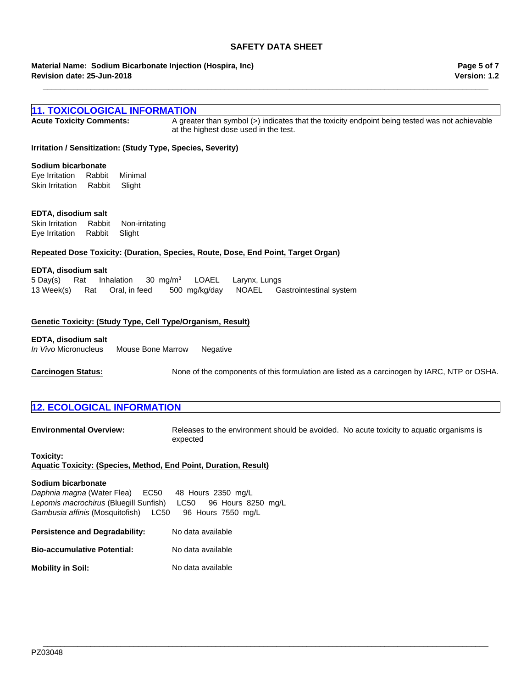**\_\_\_\_\_\_\_\_\_\_\_\_\_\_\_\_\_\_\_\_\_\_\_\_\_\_\_\_\_\_\_\_\_\_\_\_\_\_\_\_\_\_\_\_\_\_\_\_\_\_\_\_\_\_\_\_\_\_\_\_\_\_\_\_\_\_\_\_\_\_\_\_\_\_\_\_\_\_\_\_\_\_\_\_\_\_\_\_\_\_\_\_\_\_\_\_\_\_\_\_\_\_\_**

**Revision date: 25-Jun-2018 Material Name: Sodium Bicarbonate Injection (Hospira, Inc)**

## **Version: 1.2 Page 5 of 7**

| <b>11. TOXICOLOGICAL INFORMATION</b>                                                                                             |                                                                                                                                         |  |
|----------------------------------------------------------------------------------------------------------------------------------|-----------------------------------------------------------------------------------------------------------------------------------------|--|
| <b>Acute Toxicity Comments:</b>                                                                                                  | A greater than symbol (>) indicates that the toxicity endpoint being tested was not achievable<br>at the highest dose used in the test. |  |
| Irritation / Sensitization: (Study Type, Species, Severity)                                                                      |                                                                                                                                         |  |
| Sodium bicarbonate                                                                                                               |                                                                                                                                         |  |
| Eye Irritation<br>Rabbit<br>Minimal                                                                                              |                                                                                                                                         |  |
| Skin Irritation<br>Rabbit<br>Slight                                                                                              |                                                                                                                                         |  |
|                                                                                                                                  |                                                                                                                                         |  |
| EDTA, disodium salt                                                                                                              |                                                                                                                                         |  |
| Rabbit<br>Skin Irritation<br>Non-irritating                                                                                      |                                                                                                                                         |  |
| Rabbit<br>Eye Irritation<br>Slight                                                                                               |                                                                                                                                         |  |
|                                                                                                                                  |                                                                                                                                         |  |
| Repeated Dose Toxicity: (Duration, Species, Route, Dose, End Point, Target Organ)                                                |                                                                                                                                         |  |
| EDTA, disodium salt                                                                                                              |                                                                                                                                         |  |
| Inhalation<br>5 Day(s)<br>Rat<br>30 mg/m <sup>3</sup>                                                                            | <b>LOAEL</b><br>Larynx, Lungs                                                                                                           |  |
| 13 Week(s)<br>Oral, in feed<br>Rat                                                                                               | <b>NOAEL</b><br>500 mg/kg/day<br>Gastrointestinal system                                                                                |  |
|                                                                                                                                  |                                                                                                                                         |  |
|                                                                                                                                  |                                                                                                                                         |  |
| Genetic Toxicity: (Study Type, Cell Type/Organism, Result)                                                                       |                                                                                                                                         |  |
| EDTA, disodium salt                                                                                                              |                                                                                                                                         |  |
| <i>In Vivo</i> Micronucleus<br>Mouse Bone Marrow                                                                                 | Negative                                                                                                                                |  |
|                                                                                                                                  |                                                                                                                                         |  |
| <b>Carcinogen Status:</b>                                                                                                        | None of the components of this formulation are listed as a carcinogen by IARC, NTP or OSHA.                                             |  |
|                                                                                                                                  |                                                                                                                                         |  |
|                                                                                                                                  |                                                                                                                                         |  |
| <b>12. ECOLOGICAL INFORMATION</b>                                                                                                |                                                                                                                                         |  |
|                                                                                                                                  |                                                                                                                                         |  |
| <b>Environmental Overview:</b>                                                                                                   | Releases to the environment should be avoided. No acute toxicity to aquatic organisms is<br>expected                                    |  |
| Toxicity:                                                                                                                        |                                                                                                                                         |  |
| Aquatic Toxicity: (Species, Method, End Point, Duration, Result)                                                                 |                                                                                                                                         |  |
|                                                                                                                                  |                                                                                                                                         |  |
| Sodium bicarbonate                                                                                                               |                                                                                                                                         |  |
| Daphnia magna (Water Flea)<br>EC50<br>48 Hours 2350 mg/L<br>Lepomis macrochirus (Bluegill Sunfish)<br>96 Hours 8250 mg/L<br>LC50 |                                                                                                                                         |  |
| Gambusia affinis (Mosquitofish) LC50<br>96 Hours 7550 mg/L                                                                       |                                                                                                                                         |  |
|                                                                                                                                  |                                                                                                                                         |  |

**\_\_\_\_\_\_\_\_\_\_\_\_\_\_\_\_\_\_\_\_\_\_\_\_\_\_\_\_\_\_\_\_\_\_\_\_\_\_\_\_\_\_\_\_\_\_\_\_\_\_\_\_\_\_\_\_\_\_\_\_\_\_\_\_\_\_\_\_\_\_\_\_\_\_\_\_\_\_\_\_\_\_\_\_\_\_\_\_\_\_\_\_\_\_\_\_\_\_\_\_\_\_\_**

Persistence and Degradability: No data available

**Bio-accumulative Potential:** No data available

**Mobility in Soil:** No data available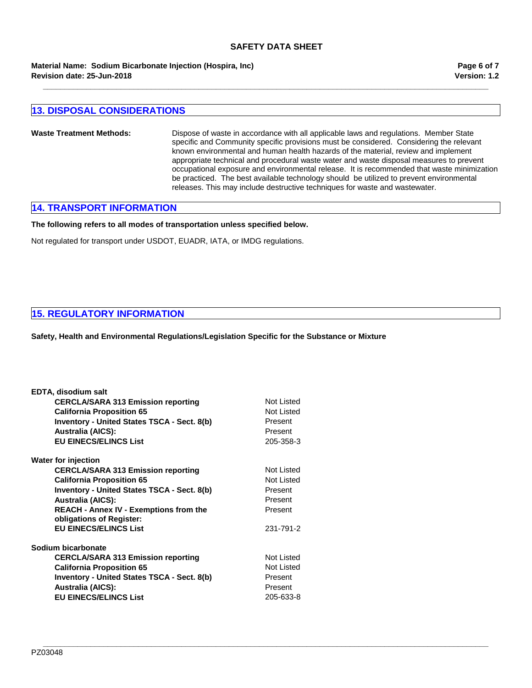**Revision date: 25-Jun-2018 Material Name: Sodium Bicarbonate Injection (Hospira, Inc)** **Version: 1.2 Page 6 of 7**

## **13. DISPOSAL CONSIDERATIONS**

**Waste Treatment Methods:** Dispose of waste in accordance with all applicable laws and regulations. Member State specific and Community specific provisions must be considered. Considering the relevant known environmental and human health hazards of the material, review and implement appropriate technical and procedural waste water and waste disposal measures to prevent occupational exposure and environmental release. It is recommended that waste minimization be practiced. The best available technology should be utilized to prevent environmental releases. This may include destructive techniques for waste and wastewater.

**\_\_\_\_\_\_\_\_\_\_\_\_\_\_\_\_\_\_\_\_\_\_\_\_\_\_\_\_\_\_\_\_\_\_\_\_\_\_\_\_\_\_\_\_\_\_\_\_\_\_\_\_\_\_\_\_\_\_\_\_\_\_\_\_\_\_\_\_\_\_\_\_\_\_\_\_\_\_\_\_\_\_\_\_\_\_\_\_\_\_\_\_\_\_\_\_\_\_\_\_\_\_\_**

**\_\_\_\_\_\_\_\_\_\_\_\_\_\_\_\_\_\_\_\_\_\_\_\_\_\_\_\_\_\_\_\_\_\_\_\_\_\_\_\_\_\_\_\_\_\_\_\_\_\_\_\_\_\_\_\_\_\_\_\_\_\_\_\_\_\_\_\_\_\_\_\_\_\_\_\_\_\_\_\_\_\_\_\_\_\_\_\_\_\_\_\_\_\_\_\_\_\_\_\_\_\_\_**

## **14. TRANSPORT INFORMATION**

**The following refers to all modes of transportation unless specified below.**

Not regulated for transport under USDOT, EUADR, IATA, or IMDG regulations.

## **15. REGULATORY INFORMATION**

**Safety, Health and Environmental Regulations/Legislation Specific for the Substance or Mixture**

| EDTA, disodium salt                                |            |
|----------------------------------------------------|------------|
| <b>CERCLA/SARA 313 Emission reporting</b>          | Not Listed |
| <b>California Proposition 65</b>                   | Not Listed |
| <b>Inventory - United States TSCA - Sect. 8(b)</b> | Present    |
| <b>Australia (AICS):</b>                           | Present    |
| <b>EU EINECS/ELINCS List</b>                       | 205-358-3  |
| <b>Water for injection</b>                         |            |
| <b>CERCLA/SARA 313 Emission reporting</b>          | Not Listed |
| <b>California Proposition 65</b>                   | Not Listed |
| <b>Inventory - United States TSCA - Sect. 8(b)</b> | Present    |
| <b>Australia (AICS):</b>                           | Present    |
| <b>REACH - Annex IV - Exemptions from the</b>      | Present    |
| obligations of Register:                           |            |
| <b>EU EINECS/ELINCS List</b>                       | 231-791-2  |
| Sodium bicarbonate                                 |            |
| <b>CERCLA/SARA 313 Emission reporting</b>          | Not Listed |
| <b>California Proposition 65</b>                   | Not Listed |
| <b>Inventory - United States TSCA - Sect. 8(b)</b> | Present    |
| <b>Australia (AICS):</b>                           | Present    |
| <b>EU EINECS/ELINCS List</b>                       | 205-633-8  |
|                                                    |            |